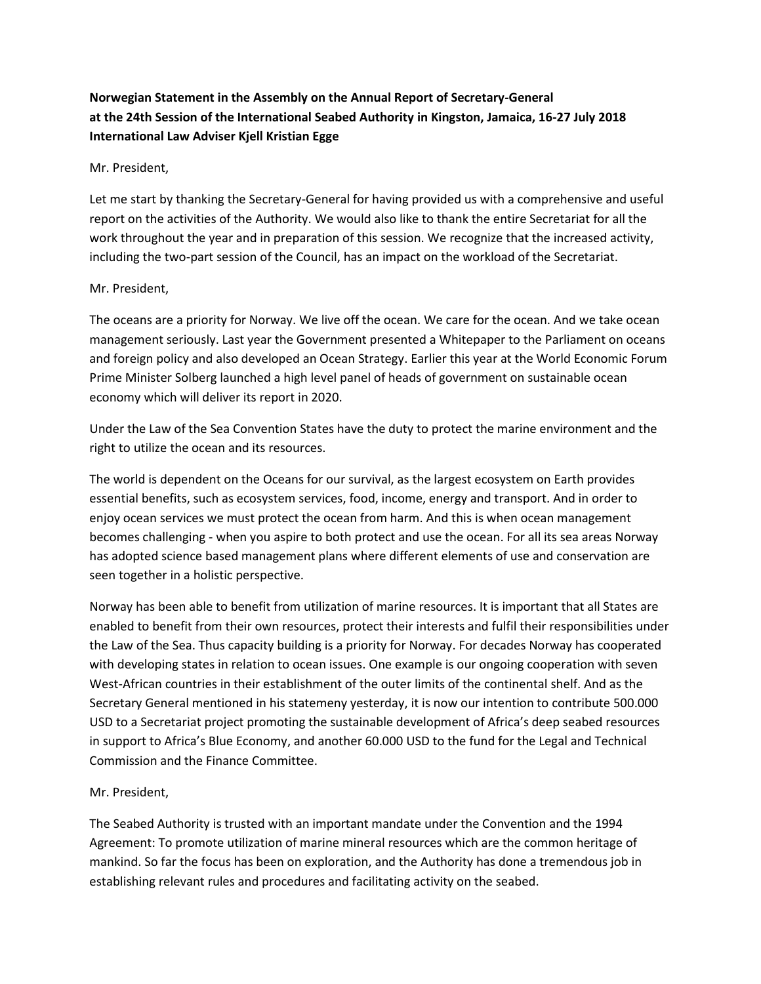# **Norwegian Statement in the Assembly on the Annual Report of Secretary-General at the 24th Session of the International Seabed Authority in Kingston, Jamaica, 16-27 July 2018 International Law Adviser Kjell Kristian Egge**

## Mr. President,

Let me start by thanking the Secretary-General for having provided us with a comprehensive and useful report on the activities of the Authority. We would also like to thank the entire Secretariat for all the work throughout the year and in preparation of this session. We recognize that the increased activity, including the two-part session of the Council, has an impact on the workload of the Secretariat.

### Mr. President,

The oceans are a priority for Norway. We live off the ocean. We care for the ocean. And we take ocean management seriously. Last year the Government presented a Whitepaper to the Parliament on oceans and foreign policy and also developed an Ocean Strategy. Earlier this year at the World Economic Forum Prime Minister Solberg launched a high level panel of heads of government on sustainable ocean economy which will deliver its report in 2020.

Under the Law of the Sea Convention States have the duty to protect the marine environment and the right to utilize the ocean and its resources.

The world is dependent on the Oceans for our survival, as the largest ecosystem on Earth provides essential benefits, such as ecosystem services, food, income, energy and transport. And in order to enjoy ocean services we must protect the ocean from harm. And this is when ocean management becomes challenging - when you aspire to both protect and use the ocean. For all its sea areas Norway has adopted science based management plans where different elements of use and conservation are seen together in a holistic perspective.

Norway has been able to benefit from utilization of marine resources. It is important that all States are enabled to benefit from their own resources, protect their interests and fulfil their responsibilities under the Law of the Sea. Thus capacity building is a priority for Norway. For decades Norway has cooperated with developing states in relation to ocean issues. One example is our ongoing cooperation with seven West-African countries in their establishment of the outer limits of the continental shelf. And as the Secretary General mentioned in his statemeny yesterday, it is now our intention to contribute 500.000 USD to a Secretariat project promoting the sustainable development of Africa's deep seabed resources in support to Africa's Blue Economy, and another 60.000 USD to the fund for the Legal and Technical Commission and the Finance Committee.

## Mr. President,

The Seabed Authority is trusted with an important mandate under the Convention and the 1994 Agreement: To promote utilization of marine mineral resources which are the common heritage of mankind. So far the focus has been on exploration, and the Authority has done a tremendous job in establishing relevant rules and procedures and facilitating activity on the seabed.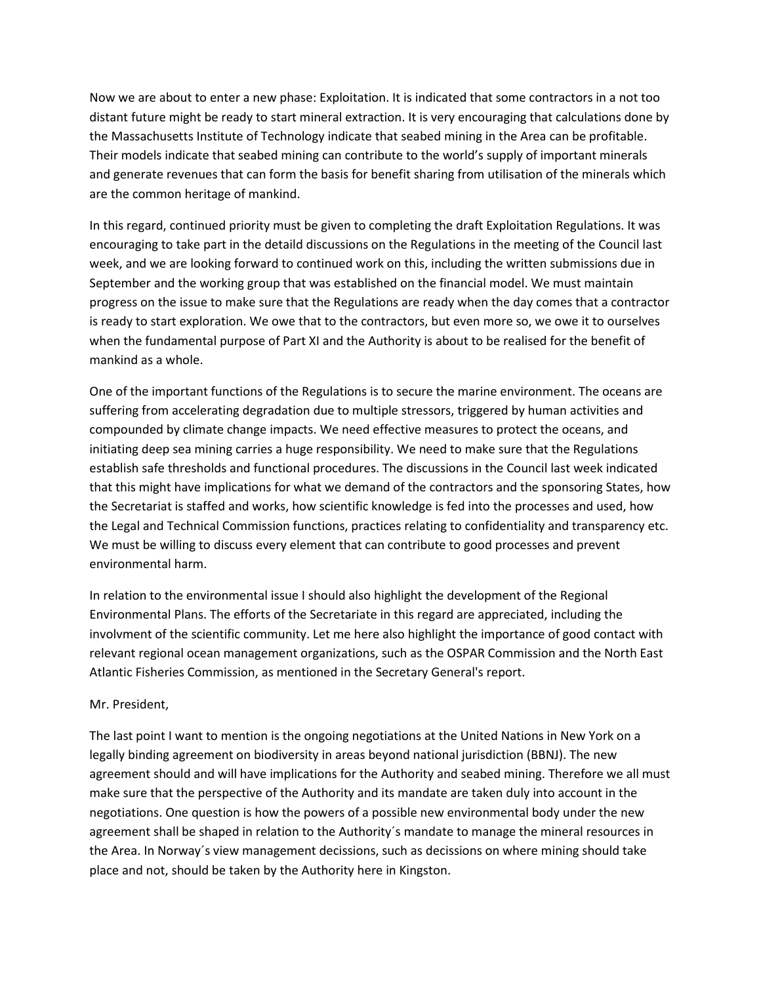Now we are about to enter a new phase: Exploitation. It is indicated that some contractors in a not too distant future might be ready to start mineral extraction. It is very encouraging that calculations done by the Massachusetts Institute of Technology indicate that seabed mining in the Area can be profitable. Their models indicate that seabed mining can contribute to the world's supply of important minerals and generate revenues that can form the basis for benefit sharing from utilisation of the minerals which are the common heritage of mankind.

In this regard, continued priority must be given to completing the draft Exploitation Regulations. It was encouraging to take part in the detaild discussions on the Regulations in the meeting of the Council last week, and we are looking forward to continued work on this, including the written submissions due in September and the working group that was established on the financial model. We must maintain progress on the issue to make sure that the Regulations are ready when the day comes that a contractor is ready to start exploration. We owe that to the contractors, but even more so, we owe it to ourselves when the fundamental purpose of Part XI and the Authority is about to be realised for the benefit of mankind as a whole.

One of the important functions of the Regulations is to secure the marine environment. The oceans are suffering from accelerating degradation due to multiple stressors, triggered by human activities and compounded by climate change impacts. We need effective measures to protect the oceans, and initiating deep sea mining carries a huge responsibility. We need to make sure that the Regulations establish safe thresholds and functional procedures. The discussions in the Council last week indicated that this might have implications for what we demand of the contractors and the sponsoring States, how the Secretariat is staffed and works, how scientific knowledge is fed into the processes and used, how the Legal and Technical Commission functions, practices relating to confidentiality and transparency etc. We must be willing to discuss every element that can contribute to good processes and prevent environmental harm.

In relation to the environmental issue I should also highlight the development of the Regional Environmental Plans. The efforts of the Secretariate in this regard are appreciated, including the involvment of the scientific community. Let me here also highlight the importance of good contact with relevant regional ocean management organizations, such as the OSPAR Commission and the North East Atlantic Fisheries Commission, as mentioned in the Secretary General's report.

#### Mr. President,

The last point I want to mention is the ongoing negotiations at the United Nations in New York on a legally binding agreement on biodiversity in areas beyond national jurisdiction (BBNJ). The new agreement should and will have implications for the Authority and seabed mining. Therefore we all must make sure that the perspective of the Authority and its mandate are taken duly into account in the negotiations. One question is how the powers of a possible new environmental body under the new agreement shall be shaped in relation to the Authority´s mandate to manage the mineral resources in the Area. In Norway´s view management decissions, such as decissions on where mining should take place and not, should be taken by the Authority here in Kingston.